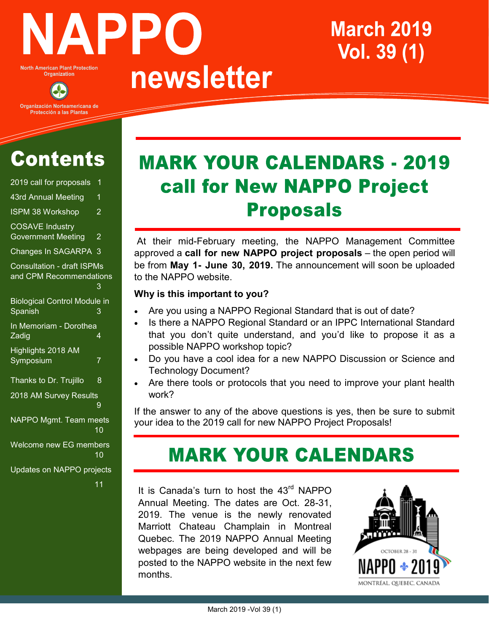

**North American Plant Protection** Organization

Organización Norteamericana de Protección a las Plantas

# **Contents**

| 2019 call for proposals                                      | 1              |
|--------------------------------------------------------------|----------------|
| 43rd Annual Meeting                                          | 1              |
| <b>ISPM 38 Workshop</b>                                      | $\overline{2}$ |
| <b>COSAVE Industry</b><br><b>Government Meeting</b>          | $\overline{2}$ |
| <b>Changes In SAGARPA</b>                                    | 3              |
| Consultation - draft <b>ISPMs</b><br>and CPM Recommendations | 3              |
| <b>Biological Control Module in</b><br>Spanish               | 3              |
| In Memoriam - Dorothea<br>Zadig                              | 4              |
| Highlights 2018 AM<br>Symposium                              | 7              |
| Thanks to Dr. Trujillo                                       | 8              |
| 2018 AM Survey Results                                       | 9              |
| NAPPO Mgmt. Team meets                                       | 10             |
| Welcome new EG members                                       | 10             |
| Updates on NAPPO projects                                    |                |

#### 11

# **MARK YOUR CALENDARS - 2019** call for New NAPPO Project **Proposals**

**March 2019** 

Vol. 39 (1)

At their mid-February meeting, the NAPPO Management Committee approved a **call for new NAPPO project proposals** – the open period will be from **May 1- June 30, 2019.** The announcement will soon be uploaded to the NAPPO website.

#### **Why is this important to you?**

newsletter

- Are you using a NAPPO Regional Standard that is out of date?
- Is there a NAPPO Regional Standard or an IPPC International Standard that you don't quite understand, and you'd like to propose it as a possible NAPPO workshop topic?
- Do you have a cool idea for a new NAPPO Discussion or Science and Technology Document?
- Are there tools or protocols that you need to improve your plant health work?

If the answer to any of the above questions is yes, then be sure to submit your idea to the 2019 call for new NAPPO Project Proposals!

# **MARK YOUR CALENDARS**

It is Canada's turn to host the 43<sup>rd</sup> NAPPO Annual Meeting. The dates are Oct. 28-31, 2019. The venue is the newly renovated Marriott Chateau Champlain in Montreal Quebec. The 2019 NAPPO Annual Meeting webpages are being developed and will be posted to the NAPPO website in the next few months.

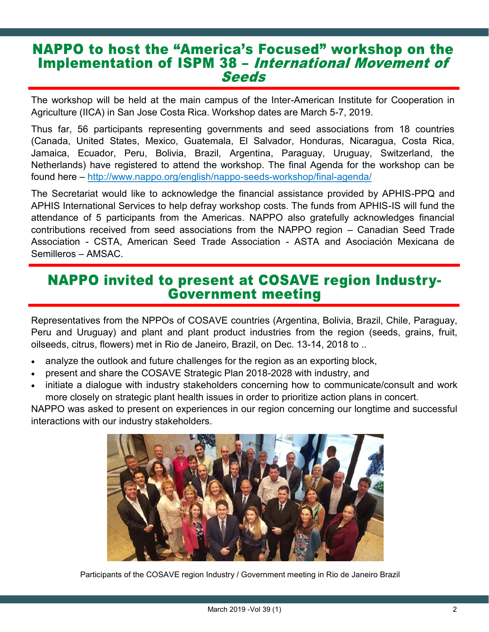### **NAPPO to host the "America's Focused" workshop on the Implementation of ISPM 38 - International Movement of Seeds**

The workshop will be held at the main campus of the Inter-American Institute for Cooperation in Agriculture (IICA) in San Jose Costa Rica. Workshop dates are March 5-7, 2019.

Thus far, 56 participants representing governments and seed associations from 18 countries (Canada, United States, Mexico, Guatemala, El Salvador, Honduras, Nicaragua, Costa Rica, Jamaica, Ecuador, Peru, Bolivia, Brazil, Argentina, Paraguay, Uruguay, Switzerland, the Netherlands) have registered to attend the workshop. The final Agenda for the workshop can be found here – [http://www.nappo.org/english/nappo](http://www.nappo.org/english/nappo-seeds-workshop/final-agenda/)-seeds-workshop/final-agenda/

The Secretariat would like to acknowledge the financial assistance provided by APHIS-PPQ and APHIS International Services to help defray workshop costs. The funds from APHIS-IS will fund the attendance of 5 participants from the Americas. NAPPO also gratefully acknowledges financial contributions received from seed associations from the NAPPO region – Canadian Seed Trade Association - CSTA, American Seed Trade Association - ASTA and Asociación Mexicana de Semilleros – AMSAC.

### **NAPPO invited to present at COSAVE region Industry-Government meeting**

Representatives from the NPPOs of COSAVE countries (Argentina, Bolivia, Brazil, Chile, Paraguay, Peru and Uruguay) and plant and plant product industries from the region (seeds, grains, fruit, oilseeds, citrus, flowers) met in Rio de Janeiro, Brazil, on Dec. 13-14, 2018 to ..

- analyze the outlook and future challenges for the region as an exporting block,
- present and share the COSAVE Strategic Plan 2018-2028 with industry, and
- initiate a dialogue with industry stakeholders concerning how to communicate/consult and work more closely on strategic plant health issues in order to prioritize action plans in concert.

NAPPO was asked to present on experiences in our region concerning our longtime and successful interactions with our industry stakeholders.



Participants of the COSAVE region Industry / Government meeting in Rio de Janeiro Brazil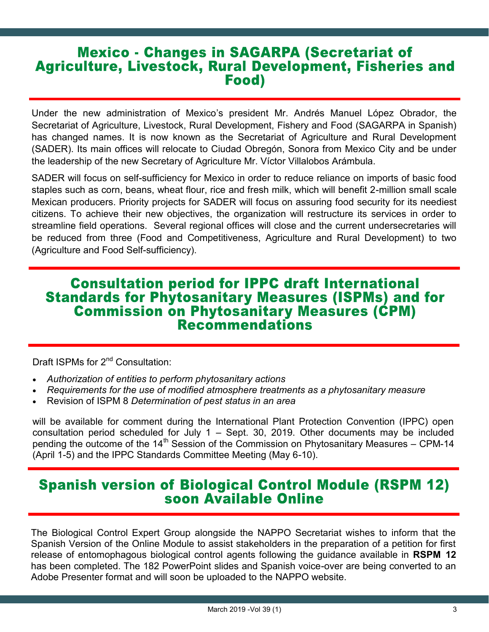### **Mexico - Changes in SAGARPA (Secretariat of Agriculture, Livestock, Rural Development, Fisheries and** Food)

Under the new administration of Mexico's president Mr. Andrés Manuel López Obrador, the Secretariat of Agriculture, Livestock, Rural Development, Fishery and Food (SAGARPA in Spanish) has changed names. It is now known as the Secretariat of Agriculture and Rural Development (SADER). Its main offices will relocate to Ciudad Obregón, Sonora from Mexico City and be under the leadership of the new Secretary of Agriculture Mr. Víctor Villalobos Arámbula.

SADER will focus on self-sufficiency for Mexico in order to reduce reliance on imports of basic food staples such as corn, beans, wheat flour, rice and fresh milk, which will benefit 2-million small scale Mexican producers. Priority projects for SADER will focus on assuring food security for its neediest citizens. To achieve their new objectives, the organization will restructure its services in order to streamline field operations. Several regional offices will close and the current undersecretaries will be reduced from three (Food and Competitiveness, Agriculture and Rural Development) to two (Agriculture and Food Self-sufficiency).

### **Consultation period for IPPC draft International Standards for Phytosanitary Measures (ISPMs) and for Commission on Phytosanitary Measures (CPM) Recommendations**

Draft ISPMs for 2<sup>nd</sup> Consultation:

- *Authorization of entities to perform phytosanitary actions*
- *Requirements for the use of modified atmosphere treatments as a phytosanitary measure*
- Revision of ISPM 8 *Determination of pest status in an area*

will be available for comment during the International Plant Protection Convention (IPPC) open consultation period scheduled for July 1 – Sept. 30, 2019. Other documents may be included pending the outcome of the 14<sup>th</sup> Session of the Commission on Phytosanitary Measures - CPM-14 (April 1-5) and the IPPC Standards Committee Meeting (May 6-10).

### **Spanish version of Biological Control Module (RSPM 12)** soon Available Online

The Biological Control Expert Group alongside the NAPPO Secretariat wishes to inform that the Spanish Version of the Online Module to assist stakeholders in the preparation of a petition for first release of entomophagous biological control agents following the guidance available in **RSPM 12** has been completed. The 182 PowerPoint slides and Spanish voice-over are being converted to an Adobe Presenter format and will soon be uploaded to the NAPPO website.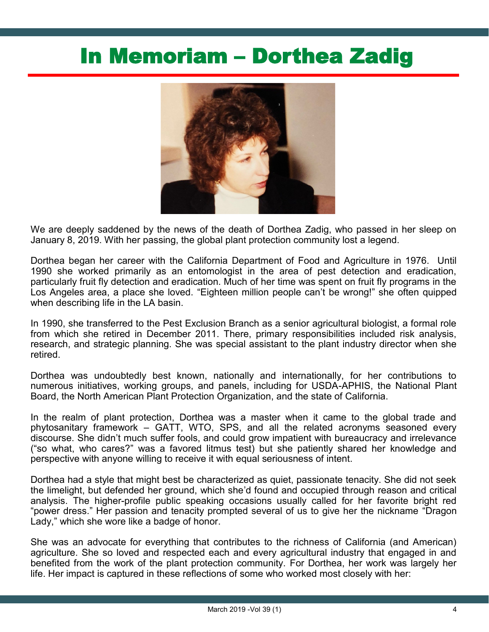# In Memoriam – Dorthea Zadig



We are deeply saddened by the news of the death of Dorthea Zadig, who passed in her sleep on January 8, 2019. With her passing, the global plant protection community lost a legend.

Dorthea began her career with the California Department of Food and Agriculture in 1976. Until 1990 she worked primarily as an entomologist in the area of pest detection and eradication, particularly fruit fly detection and eradication. Much of her time was spent on fruit fly programs in the Los Angeles area, a place she loved. "Eighteen million people can't be wrong!" she often quipped when describing life in the LA basin.

In 1990, she transferred to the Pest Exclusion Branch as a senior agricultural biologist, a formal role from which she retired in December 2011. There, primary responsibilities included risk analysis, research, and strategic planning. She was special assistant to the plant industry director when she retired.

Dorthea was undoubtedly best known, nationally and internationally, for her contributions to numerous initiatives, working groups, and panels, including for USDA-APHIS, the National Plant Board, the North American Plant Protection Organization, and the state of California.

In the realm of plant protection, Dorthea was a master when it came to the global trade and phytosanitary framework – GATT, WTO, SPS, and all the related acronyms seasoned every discourse. She didn't much suffer fools, and could grow impatient with bureaucracy and irrelevance ("so what, who cares?" was a favored litmus test) but she patiently shared her knowledge and perspective with anyone willing to receive it with equal seriousness of intent.

Dorthea had a style that might best be characterized as quiet, passionate tenacity. She did not seek the limelight, but defended her ground, which she'd found and occupied through reason and critical analysis. The higher-profile public speaking occasions usually called for her favorite bright red "power dress." Her passion and tenacity prompted several of us to give her the nickname "Dragon Lady," which she wore like a badge of honor.

She was an advocate for everything that contributes to the richness of California (and American) agriculture. She so loved and respected each and every agricultural industry that engaged in and benefited from the work of the plant protection community. For Dorthea, her work was largely her life. Her impact is captured in these reflections of some who worked most closely with her: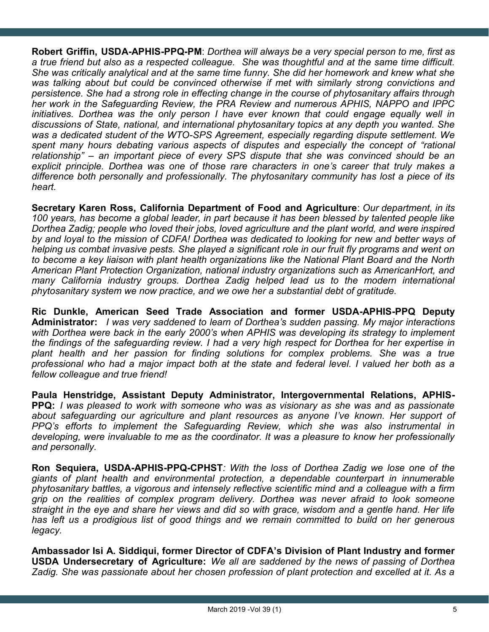**Robert Griffin, USDA-APHIS-PPQ-PM**: *Dorthea will always be a very special person to me, first as a true friend but also as a respected colleague. She was thoughtful and at the same time difficult. She was critically analytical and at the same time funny. She did her homework and knew what she was talking about but could be convinced otherwise if met with similarly strong convictions and persistence. She had a strong role in effecting change in the course of phytosanitary affairs through her work in the Safeguarding Review, the PRA Review and numerous APHIS, NAPPO and IPPC initiatives. Dorthea was the only person I have ever known that could engage equally well in discussions of State, national, and international phytosanitary topics at any depth you wanted. She was a dedicated student of the WTO-SPS Agreement, especially regarding dispute settlement. We*  spent many hours debating various aspects of disputes and especially the concept of "rational *relationship" – an important piece of every SPS dispute that she was convinced should be an explicit principle. Dorthea was one of those rare characters in one's career that truly makes a difference both personally and professionally. The phytosanitary community has lost a piece of its heart.*

**Secretary Karen Ross, California Department of Food and Agriculture**: *Our department, in its 100 years, has become a global leader, in part because it has been blessed by talented people like Dorthea Zadig; people who loved their jobs, loved agriculture and the plant world, and were inspired by and loyal to the mission of CDFA! Dorthea was dedicated to looking for new and better ways of helping us combat invasive pests. She played a significant role in our fruit fly programs and went on to become a key liaison with plant health organizations like the National Plant Board and the North American Plant Protection Organization, national industry organizations such as AmericanHort, and many California industry groups. Dorthea Zadig helped lead us to the modern international phytosanitary system we now practice, and we owe her a substantial debt of gratitude.*

**Ric Dunkle, American Seed Trade Association and former USDA-APHIS-PPQ Deputy Administrator:** *I was very saddened to learn of Dorthea's sudden passing. My major interactions with Dorthea were back in the early 2000's when APHIS was developing its strategy to implement the findings of the safeguarding review. I had a very high respect for Dorthea for her expertise in plant health and her passion for finding solutions for complex problems. She was a true professional who had a major impact both at the state and federal level. I valued her both as a fellow colleague and true friend!*

**Paula Henstridge, Assistant Deputy Administrator, Intergovernmental Relations, APHIS-PPQ:** *I was pleased to work with someone who was as visionary as she was and as passionate about safeguarding our agriculture and plant resources as anyone I've known. Her support of PPQ's efforts to implement the Safeguarding Review, which she was also instrumental in developing, were invaluable to me as the coordinator. It was a pleasure to know her professionally and personally.*

**Ron Sequiera, USDA-APHIS-PPQ-CPHST***: With the loss of Dorthea Zadig we lose one of the giants of plant health and environmental protection, a dependable counterpart in innumerable phytosanitary battles, a vigorous and intensely reflective scientific mind and a colleague with a firm grip on the realities of complex program delivery. Dorthea was never afraid to look someone straight in the eye and share her views and did so with grace, wisdom and a gentle hand. Her life has left us a prodigious list of good things and we remain committed to build on her generous legacy.* 

**Ambassador Isi A. Siddiqui, former Director of CDFA's Division of Plant Industry and former USDA Undersecretary of Agriculture:** *We all are saddened by the news of passing of Dorthea Zadig. She was passionate about her chosen profession of plant protection and excelled at it. As a*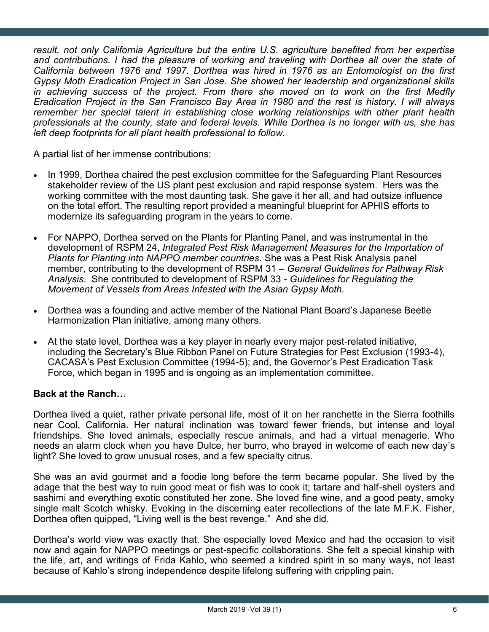*result, not only California Agriculture but the entire U.S. agriculture benefited from her expertise and contributions. I had the pleasure of working and traveling with Dorthea all over the state of California between 1976 and 1997. Dorthea was hired in 1976 as an Entomologist on the first Gypsy Moth Eradication Project in San Jose. She showed her leadership and organizational skills in achieving success of the project. From there she moved on to work on the first Medfly Eradication Project in the San Francisco Bay Area in 1980 and the rest is history. I will always remember her special talent in establishing close working relationships with other plant health professionals at the county, state and federal levels. While Dorthea is no longer with us, she has left deep footprints for all plant health professional to follow.*

A partial list of her immense contributions:

- In 1999, Dorthea chaired the pest exclusion committee for the Safeguarding Plant Resources stakeholder review of the US plant pest exclusion and rapid response system. Hers was the working committee with the most daunting task. She gave it her all, and had outsize influence on the total effort. The resulting report provided a meaningful blueprint for APHIS efforts to modernize its safeguarding program in the years to come.
- For NAPPO, Dorthea served on the Plants for Planting Panel, and was instrumental in the development of RSPM 24, *Integrated Pest Risk Management Measures for the Importation of Plants for Planting into NAPPO member countries*. She was a Pest Risk Analysis panel member, contributing to the development of RSPM 31 – *General Guidelines for Pathway Risk Analysis*. She contributed to development of RSPM 33 - *Guidelines for Regulating the Movement of Vessels from Areas Infested with the Asian Gypsy Moth.*
- Dorthea was a founding and active member of the National Plant Board's Japanese Beetle Harmonization Plan initiative, among many others.
- At the state level, Dorthea was a key player in nearly every major pest-related initiative, including the Secretary's Blue Ribbon Panel on Future Strategies for Pest Exclusion (1993-4), CACASA's Pest Exclusion Committee (1994-5); and, the Governor's Pest Eradication Task Force, which began in 1995 and is ongoing as an implementation committee.

#### **Back at the Ranch…**

Dorthea lived a quiet, rather private personal life, most of it on her ranchette in the Sierra foothills near Cool, California. Her natural inclination was toward fewer friends, but intense and loyal friendships. She loved animals, especially rescue animals, and had a virtual menagerie. Who needs an alarm clock when you have Dulce, her burro, who brayed in welcome of each new day's light? She loved to grow unusual roses, and a few specialty citrus.

She was an avid gourmet and a foodie long before the term became popular. She lived by the adage that the best way to ruin good meat or fish was to cook it; tartare and half-shell oysters and sashimi and everything exotic constituted her zone. She loved fine wine, and a good peaty, smoky single malt Scotch whisky. Evoking in the discerning eater recollections of the late M.F.K. Fisher, Dorthea often quipped, "Living well is the best revenge." And she did.

Dorthea's world view was exactly that. She especially loved Mexico and had the occasion to visit now and again for NAPPO meetings or pest-specific collaborations. She felt a special kinship with the life, art, and writings of Frida Kahlo, who seemed a kindred spirit in so many ways, not least because of Kahlo's strong independence despite lifelong suffering with crippling pain.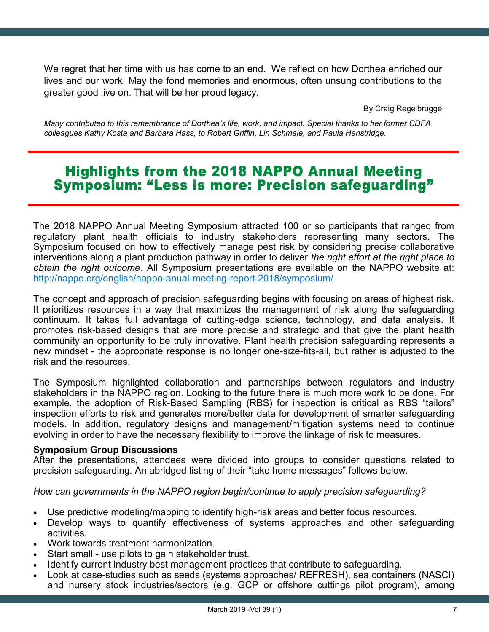We regret that her time with us has come to an end. We reflect on how Dorthea enriched our lives and our work. May the fond memories and enormous, often unsung contributions to the greater good live on. That will be her proud legacy.

By Craig Regelbrugge

*Many contributed to this remembrance of Dorthea's life, work, and impact. Special thanks to her former CDFA colleagues Kathy Kosta and Barbara Hass, to Robert Griffin, Lin Schmale, and Paula Henstridge.* 

### **Highlights from the 2018 NAPPO Annual Meeting Symposium: "Less is more: Precision safequarding"**

The 2018 NAPPO Annual Meeting Symposium attracted 100 or so participants that ranged from regulatory plant health officials to industry stakeholders representing many sectors. The Symposium focused on how to effectively manage pest risk by considering precise collaborative interventions along a plant production pathway in order to deliver *the right effort at the right place to obtain the right outcome*. All Symposium presentations are available on the NAPPO website at: [http://nappo.org/english/nappo](http://nappo.org/english/nappo-anual-meeting-report-2018/symposium/)-anual-meeting-report-2018/symposium/

The concept and approach of precision safeguarding begins with focusing on areas of highest risk. It prioritizes resources in a way that maximizes the management of risk along the safeguarding continuum. It takes full advantage of cutting-edge science, technology, and data analysis. It promotes risk-based designs that are more precise and strategic and that give the plant health community an opportunity to be truly innovative. Plant health precision safeguarding represents a new mindset - the appropriate response is no longer one-size-fits-all, but rather is adjusted to the risk and the resources.

The Symposium highlighted collaboration and partnerships between regulators and industry stakeholders in the NAPPO region. Looking to the future there is much more work to be done. For example, the adoption of Risk-Based Sampling (RBS) for inspection is critical as RBS "tailors" inspection efforts to risk and generates more/better data for development of smarter safeguarding models. In addition, regulatory designs and management/mitigation systems need to continue evolving in order to have the necessary flexibility to improve the linkage of risk to measures.

#### **Symposium Group Discussions**

After the presentations, attendees were divided into groups to consider questions related to precision safeguarding. An abridged listing of their "take home messages" follows below.

*How can governments in the NAPPO region begin/continue to apply precision safeguarding?* 

- Use predictive modeling/mapping to identify high-risk areas and better focus resources.
- Develop ways to quantify effectiveness of systems approaches and other safeguarding activities.
- Work towards treatment harmonization.
- Start small use pilots to gain stakeholder trust.
- Identify current industry best management practices that contribute to safeguarding.
- Look at case-studies such as seeds (systems approaches/ REFRESH), sea containers (NASCI) and nursery stock industries/sectors (e.g. GCP or offshore cuttings pilot program), among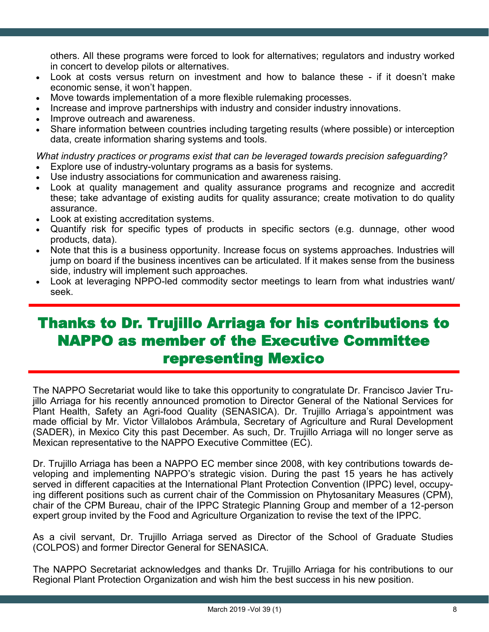others. All these programs were forced to look for alternatives; regulators and industry worked in concert to develop pilots or alternatives.

- Look at costs versus return on investment and how to balance these if it doesn't make economic sense, it won't happen.
- Move towards implementation of a more flexible rulemaking processes.
- Increase and improve partnerships with industry and consider industry innovations.
- Improve outreach and awareness.
- Share information between countries including targeting results (where possible) or interception data, create information sharing systems and tools.

*What industry practices or programs exist that can be leveraged towards precision safeguarding?* 

- Explore use of industry-voluntary programs as a basis for systems.
- Use industry associations for communication and awareness raising.
- Look at quality management and quality assurance programs and recognize and accredit these; take advantage of existing audits for quality assurance; create motivation to do quality assurance.
- Look at existing accreditation systems.
- Quantify risk for specific types of products in specific sectors (e.g. dunnage, other wood products, data).
- Note that this is a business opportunity. Increase focus on systems approaches. Industries will jump on board if the business incentives can be articulated. If it makes sense from the business side, industry will implement such approaches.
- Look at leveraging NPPO-led commodity sector meetings to learn from what industries want/ seek.

## Thanks to Dr. Trujillo Arriaga for his contributions to NAPPO as member of the Executive Committee representing Mexico

The NAPPO Secretariat would like to take this opportunity to congratulate Dr. Francisco Javier Trujillo Arriaga for his recently announced promotion to Director General of the National Services for Plant Health, Safety an Agri-food Quality (SENASICA). Dr. Trujillo Arriaga's appointment was made official by Mr. Victor Villalobos Arámbula, Secretary of Agriculture and Rural Development (SADER), in Mexico City this past December. As such, Dr. Trujillo Arriaga will no longer serve as Mexican representative to the NAPPO Executive Committee (EC).

Dr. Trujillo Arriaga has been a NAPPO EC member since 2008, with key contributions towards developing and implementing NAPPO's strategic vision. During the past 15 years he has actively served in different capacities at the International Plant Protection Convention (IPPC) level, occupying different positions such as current chair of the Commission on Phytosanitary Measures (CPM), chair of the CPM Bureau, chair of the IPPC Strategic Planning Group and member of a 12-person expert group invited by the Food and Agriculture Organization to revise the text of the IPPC.

As a civil servant, Dr. Trujillo Arriaga served as Director of the School of Graduate Studies (COLPOS) and former Director General for SENASICA.

The NAPPO Secretariat acknowledges and thanks Dr. Trujillo Arriaga for his contributions to our Regional Plant Protection Organization and wish him the best success in his new position.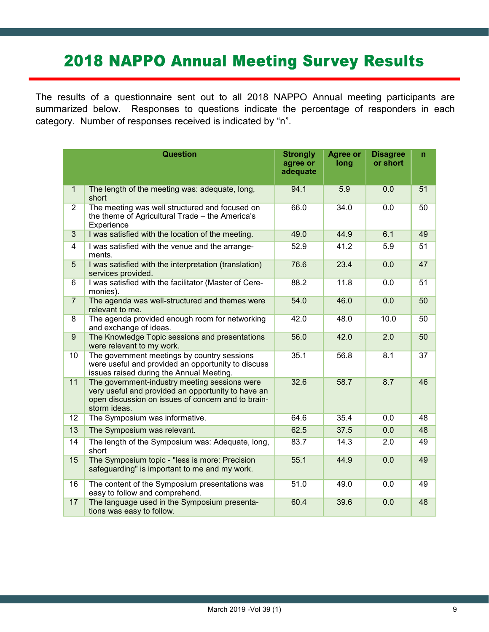# **2018 NAPPO Annual Meeting Survey Results**

The results of a questionnaire sent out to all 2018 NAPPO Annual meeting participants are summarized below. Responses to questions indicate the percentage of responders in each category. Number of responses received is indicated by "n".

|                  | <b>Question</b>                                                                                                                                                           | <b>Strongly</b><br>agree or<br>adequate | <b>Agree or</b><br>long | <b>Disagree</b><br>or short | n  |
|------------------|---------------------------------------------------------------------------------------------------------------------------------------------------------------------------|-----------------------------------------|-------------------------|-----------------------------|----|
| $\mathbf{1}$     | The length of the meeting was: adequate, long,<br>short                                                                                                                   | 94.1                                    | 5.9                     | 0.0                         | 51 |
| $\overline{2}$   | The meeting was well structured and focused on<br>the theme of Agricultural Trade - the America's<br>Experience                                                           | 66.0                                    | 34.0                    | 0.0                         | 50 |
| $\overline{3}$   | I was satisfied with the location of the meeting.                                                                                                                         | 49.0                                    | 44.9                    | 6.1                         | 49 |
| $\overline{4}$   | I was satisfied with the venue and the arrange-<br>ments.                                                                                                                 | 52.9                                    | 41.2                    | 5.9                         | 51 |
| 5                | I was satisfied with the interpretation (translation)<br>services provided.                                                                                               | 76.6                                    | 23.4                    | 0.0                         | 47 |
| 6                | I was satisfied with the facilitator (Master of Cere-<br>monies).                                                                                                         | 88.2                                    | 11.8                    | 0.0                         | 51 |
| $\overline{7}$   | The agenda was well-structured and themes were<br>relevant to me.                                                                                                         | 54.0                                    | 46.0                    | 0.0                         | 50 |
| $\overline{8}$   | The agenda provided enough room for networking<br>and exchange of ideas.                                                                                                  | 42.0                                    | 48.0                    | 10.0                        | 50 |
| $\boldsymbol{9}$ | The Knowledge Topic sessions and presentations<br>were relevant to my work.                                                                                               | 56.0                                    | 42.0                    | 2.0                         | 50 |
| 10               | The government meetings by country sessions<br>were useful and provided an opportunity to discuss<br>issues raised during the Annual Meeting.                             | 35.1                                    | 56.8                    | 8.1                         | 37 |
| 11               | The government-industry meeting sessions were<br>very useful and provided an opportunity to have an<br>open discussion on issues of concern and to brain-<br>storm ideas. | 32.6                                    | 58.7                    | 8.7                         | 46 |
| 12               | The Symposium was informative.                                                                                                                                            | 64.6                                    | 35.4                    | 0.0                         | 48 |
| 13               | The Symposium was relevant.                                                                                                                                               | 62.5                                    | 37.5                    | 0.0                         | 48 |
| 14               | The length of the Symposium was: Adequate, long,<br>short                                                                                                                 | 83.7                                    | 14.3                    | 2.0                         | 49 |
| 15               | The Symposium topic - "less is more: Precision<br>safeguarding" is important to me and my work.                                                                           | 55.1                                    | 44.9                    | 0.0                         | 49 |
| 16               | The content of the Symposium presentations was<br>easy to follow and comprehend.                                                                                          | 51.0                                    | 49.0                    | 0.0                         | 49 |
| 17               | The language used in the Symposium presenta-<br>tions was easy to follow.                                                                                                 | 60.4                                    | 39.6                    | 0.0                         | 48 |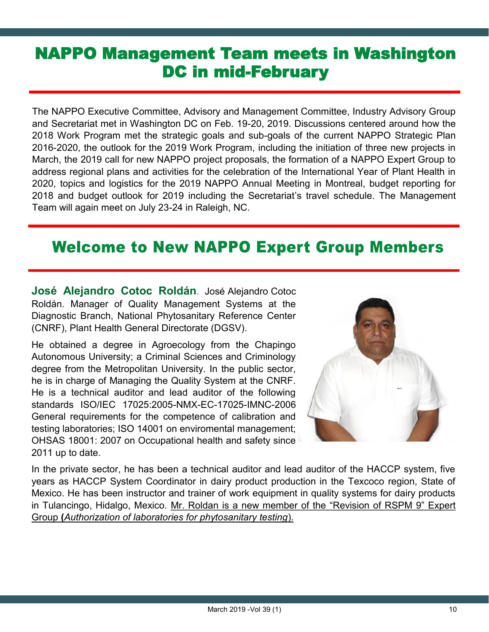## NAPPO Management Team meets in Washington DC in mid-February

The NAPPO Executive Committee, Advisory and Management Committee, Industry Advisory Group and Secretariat met in Washington DC on Feb. 19-20, 2019. Discussions centered around how the 2018 Work Program met the strategic goals and sub-goals of the current NAPPO Strategic Plan 2016-2020, the outlook for the 2019 Work Program, including the initiation of three new projects in March, the 2019 call for new NAPPO project proposals, the formation of a NAPPO Expert Group to address regional plans and activities for the celebration of the International Year of Plant Health in 2020, topics and logistics for the 2019 NAPPO Annual Meeting in Montreal, budget reporting for 2018 and budget outlook for 2019 including the Secretariat's travel schedule. The Management Team will again meet on July 23-24 in Raleigh, NC.

## **Welcome to New NAPPO Expert Group Members**

**José Alejandro Cotoc Roldán**. José Alejandro Cotoc Roldán. Manager of Quality Management Systems at the Diagnostic Branch, National Phytosanitary Reference Center (CNRF), Plant Health General Directorate (DGSV).

He obtained a degree in Agroecology from the Chapingo Autonomous University; a Criminal Sciences and Criminology degree from the Metropolitan University. In the public sector, he is in charge of Managing the Quality System at the CNRF. He is a technical auditor and lead auditor of the following standards ISO/IEC 17025:2005-NMX-EC-17025-IMNC-2006 General requirements for the competence of calibration and testing laboratories; ISO 14001 on enviromental management; OHSAS 18001: 2007 on Occupational health and safety since 2011 up to date.



In the private sector, he has been a technical auditor and lead auditor of the HACCP system, five years as HACCP System Coordinator in dairy product production in the Texcoco region, State of Mexico. He has been instructor and trainer of work equipment in quality systems for dairy products in Tulancingo, Hidalgo, Mexico. Mr. Roldan is a new member of the "Revision of RSPM 9" Expert Group **(***Authorization of laboratories for phytosanitary testing*).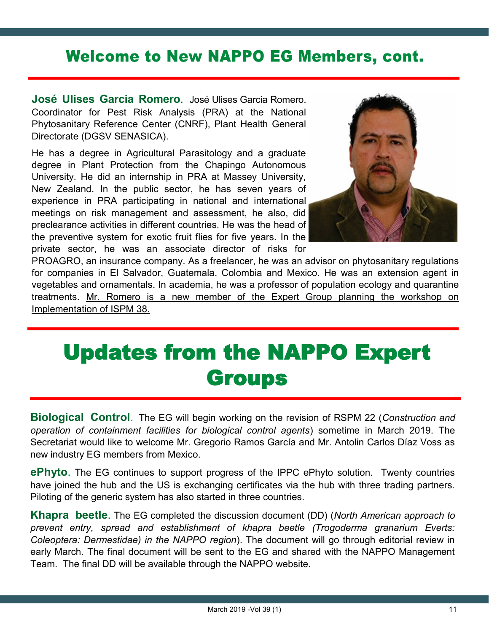## **Welcome to New NAPPO EG Members, cont.**

**José Ulises Garcia Romero**. José Ulises Garcia Romero. Coordinator for Pest Risk Analysis (PRA) at the National Phytosanitary Reference Center (CNRF), Plant Health General Directorate (DGSV SENASICA).

He has a degree in Agricultural Parasitology and a graduate degree in Plant Protection from the Chapingo Autonomous University. He did an internship in PRA at Massey University, New Zealand. In the public sector, he has seven years of experience in PRA participating in national and international meetings on risk management and assessment, he also, did preclearance activities in different countries. He was the head of the preventive system for exotic fruit flies for five years. In the private sector, he was an associate director of risks for



PROAGRO, an insurance company. As a freelancer, he was an advisor on phytosanitary regulations for companies in El Salvador, Guatemala, Colombia and Mexico. He was an extension agent in vegetables and ornamentals. In academia, he was a professor of population ecology and quarantine treatments. Mr. Romero is a new member of the Expert Group planning the workshop on Implementation of ISPM 38.

# Updates from the NAPPO Expert **Groups**

**Biological Control**. The EG will begin working on the revision of RSPM 22 (*Construction and operation of containment facilities for biological control agents*) sometime in March 2019. The Secretariat would like to welcome Mr. Gregorio Ramos García and Mr. Antolin Carlos Díaz Voss as new industry EG members from Mexico.

**ePhyto**. The EG continues to support progress of the IPPC ePhyto solution. Twenty countries have joined the hub and the US is exchanging certificates via the hub with three trading partners. Piloting of the generic system has also started in three countries.

**Khapra beetle**. The EG completed the discussion document (DD) (*North American approach to prevent entry, spread and establishment of khapra beetle (Trogoderma granarium Everts: Coleoptera: Dermestidae) in the NAPPO region*). The document will go through editorial review in early March. The final document will be sent to the EG and shared with the NAPPO Management Team. The final DD will be available through the NAPPO website.